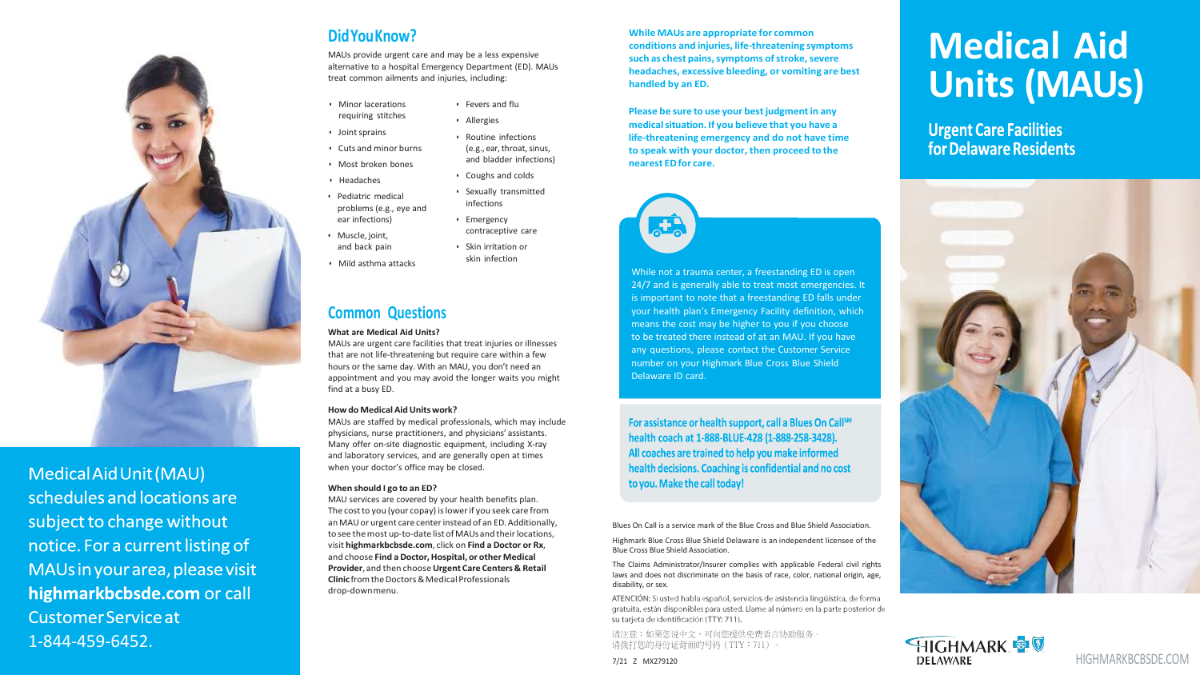# **DidYou Know?**

MAUs provide urgent care and may be a less expensive alternative to a hospital Emergency Department (ED). MAUs treat common ailments and injuries , including:

**While M A U s are ap pro priate for common con ditions and inju r i e s , life -threatening symp toms such** as chest pains, symptoms of stroke, severe **headaches, exc essiv e bleeding, or vomiting are best handled by an ED .**

- Minor lacerations requiring stitches
- Joint sprains
- Cuts and minor burns
- Most broken bones
- Headaches
- Pediatric medical problems (e.g., eye and ear infections)
- Muscle , joint , and back pain
- Mild asthma attacks

Please be sure to use your best judgment in any medical situation. If you believe that you have a life-threatening emergency and do not have time **to speak with your doctor, then proceed t o the nearest EDfor care.**



• Fevers and flu • Allergies

• Routine infections (e.g., ear, throat, sinus, and bladder infections)

• Coughs and colds • Sexually transmitted infections • Emergency

contraceptive care • Skin irritation or skin infection

## **Common Questions**

#### **What are Medical Aid Units?**

Highmark Blue Cross Blue Shield Delaware is an independent licensee of the Bl u e Cross Bl u e Shiel d Association.

MAUs are urgent care facilities that treat injuries or illnesses that ar e not life -threatening but require care within a few hours or the same day . With an MAU , you don't need an appointment and you may avoid the longer waits you might find at a busy ED .



Medical Aid Unit (MAU) schedules and locations are subject to change without notice. For a current listing of MAUs in your area, please visit highmarkbcbsde.com or call **Customer Service at** 1 -844 -459 -6452 .

#### **Ho wdo Medical AidUnitswork?**

MAUs ar e staffed by medical professionals , which may include physicians , nurse practitioners , and physicians ' assistants . Many offer on-site diagnostic equipment, including X-ray and laboratory services, and ar e generally open at times when your doctor ' s office may be closed .

While not a trauma center, a freestanding ED is open 24/7 and is generally able to treat most emergencies. It is important to note that a freestanding ED falls unde r you r health plan ' s Emergency Facility definition , which means the cost may be highe r to you if you choose to be treated there instead of at an MAU. If you have any questions, please contact the Customer Service number on your Highmark Blue Cross Blue Shield Delawar e ID card .

For assistance or health support, call a Blues On Call<sup>sM</sup> health coach at 1-888-BLUE-428 (1-888-258-3428). All coaches are trained to help you make informed health decisions. Coaching is confidential and no cost to you. Make the call today!

#### **When should I go t o an ED?**

MAU services ar e covered by your health benefits plan. The cost t o you (your copay) islowerif you seek care from an M A Uor urgen t care centerinstead of an ED .Additionally , to see the most up-to-date list of MAUs and their locations, visit **[highmarkbcbsde.com](https://www.highmarkbcbsde.com/home/)** , click on **Find a Doctor or Rx** , and choose **Find a Doctor,Hospital , or other Medical P rovider** , and then choose**Urgen t Care Centers & Retail Clinic** fromtheDoctors &MedicalProfessionals drop -downmenu .

Blues On Call is a service mark of the Blue C ross and Blue Shield Association.

The Claims Administrator/Insurer complies with applicable Federal civil rights laws and does not discriminate on the basis of race, color, national origin, age, disability , or sex.

ATENCIÓN: Si usted habla español, servicios de asistencia lingüística, de forma gratuita, están disponibles para usted. Llame al número en la parte posterior de su tarjeta de identificación (TTY: 711).

请注意:如果您说中文,可向您提供免费语言协助服务。 请拨打您的身份证背面的号码(TTY:711)

7/21 Z MX279120



# **Medical Aid Units (M AUs)**

**Urgent Care Facilities** for Delaware Residents